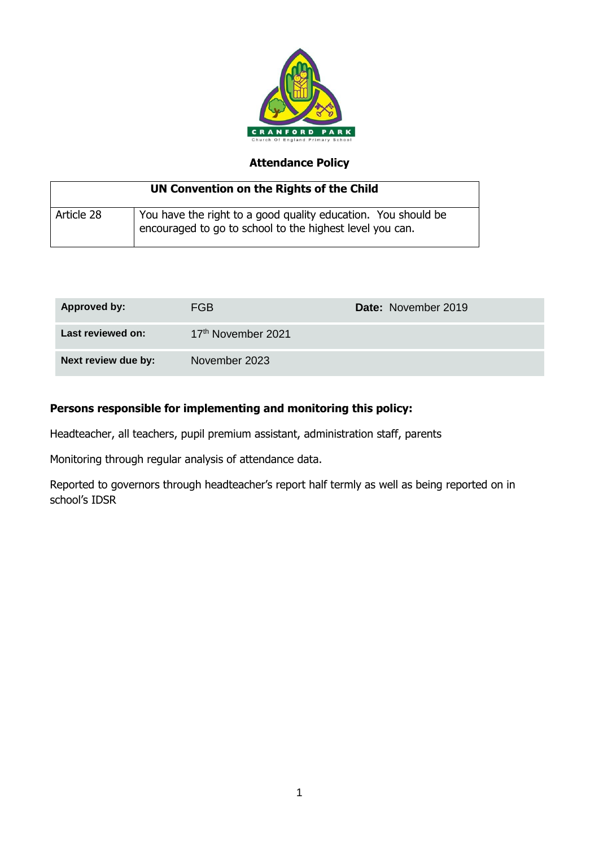

# **Attendance Policy**

| UN Convention on the Rights of the Child |                                                                                                                           |  |
|------------------------------------------|---------------------------------------------------------------------------------------------------------------------------|--|
| Article 28                               | You have the right to a good quality education. You should be<br>encouraged to go to school to the highest level you can. |  |

| Approved by:        | FGB.                           | <b>Date: November 2019</b> |
|---------------------|--------------------------------|----------------------------|
| Last reviewed on:   | 17 <sup>th</sup> November 2021 |                            |
| Next review due by: | November 2023                  |                            |

## **Persons responsible for implementing and monitoring this policy:**

Headteacher, all teachers, pupil premium assistant, administration staff, parents

Monitoring through regular analysis of attendance data.

Reported to governors through headteacher's report half termly as well as being reported on in school's IDSR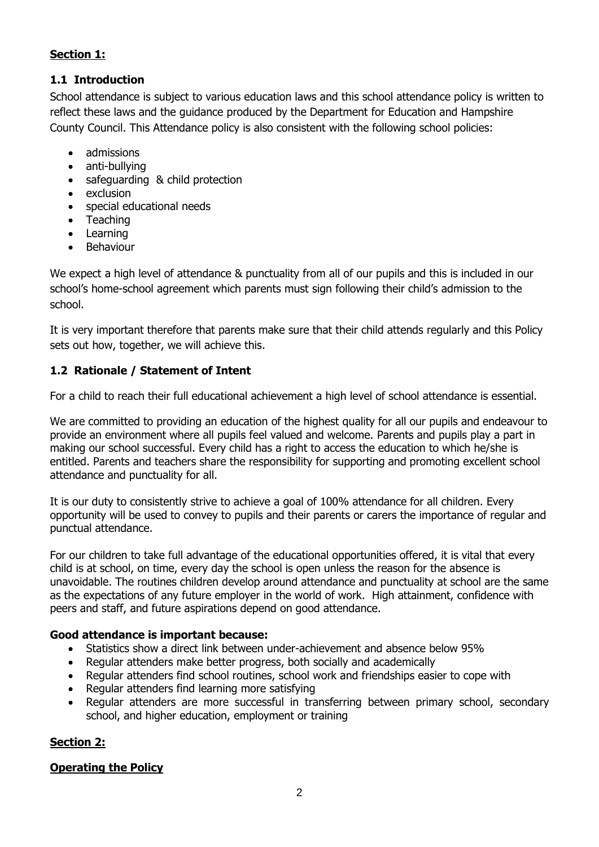## **Section 1:**

## **1.1 Introduction**

School attendance is subject to various education laws and this school attendance policy is written to reflect these laws and the guidance produced by the Department for Education and Hampshire County Council. This Attendance policy is also consistent with the following school policies:

- admissions
- anti-bullying
- safeguarding & child protection
- exclusion
- special educational needs
- Teaching
- **Learning**
- Behaviour

We expect a high level of attendance & punctuality from all of our pupils and this is included in our school's home-school agreement which parents must sign following their child's admission to the school.

It is very important therefore that parents make sure that their child attends regularly and this Policy sets out how, together, we will achieve this.

# **1.2 Rationale / Statement of Intent**

For a child to reach their full educational achievement a high level of school attendance is essential.

We are committed to providing an education of the highest quality for all our pupils and endeavour to provide an environment where all pupils feel valued and welcome. Parents and pupils play a part in making our school successful. Every child has a right to access the education to which he/she is entitled. Parents and teachers share the responsibility for supporting and promoting excellent school attendance and punctuality for all.

It is our duty to consistently strive to achieve a goal of 100% attendance for all children. Every opportunity will be used to convey to pupils and their parents or carers the importance of regular and punctual attendance.

For our children to take full advantage of the educational opportunities offered, it is vital that every child is at school, on time, every day the school is open unless the reason for the absence is unavoidable. The routines children develop around attendance and punctuality at school are the same as the expectations of any future employer in the world of work. High attainment, confidence with peers and staff, and future aspirations depend on good attendance.

### **Good attendance is important because:**

- Statistics show a direct link between under-achievement and absence below 95%
- Regular attenders make better progress, both socially and academically
- Regular attenders find school routines, school work and friendships easier to cope with
- Regular attenders find learning more satisfying
- Regular attenders are more successful in transferring between primary school, secondary school, and higher education, employment or training

### **Section 2:**

### **Operating the Policy**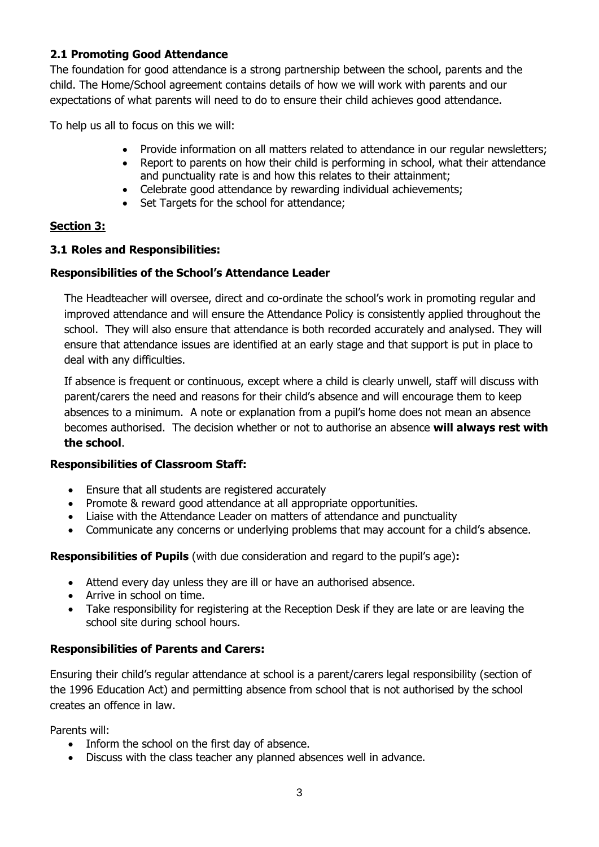## **2.1 Promoting Good Attendance**

The foundation for good attendance is a strong partnership between the school, parents and the child. The Home/School agreement contains details of how we will work with parents and our expectations of what parents will need to do to ensure their child achieves good attendance.

To help us all to focus on this we will:

- Provide information on all matters related to attendance in our regular newsletters;
- Report to parents on how their child is performing in school, what their attendance and punctuality rate is and how this relates to their attainment;
- Celebrate good attendance by rewarding individual achievements;
- Set Targets for the school for attendance;

## **Section 3:**

### **3.1 Roles and Responsibilities:**

## **Responsibilities of the School's Attendance Leader**

The Headteacher will oversee, direct and co-ordinate the school's work in promoting regular and improved attendance and will ensure the Attendance Policy is consistently applied throughout the school. They will also ensure that attendance is both recorded accurately and analysed. They will ensure that attendance issues are identified at an early stage and that support is put in place to deal with any difficulties.

If absence is frequent or continuous, except where a child is clearly unwell, staff will discuss with parent/carers the need and reasons for their child's absence and will encourage them to keep absences to a minimum. A note or explanation from a pupil's home does not mean an absence becomes authorised. The decision whether or not to authorise an absence **will always rest with the school**.

### **Responsibilities of Classroom Staff:**

- Ensure that all students are registered accurately
- Promote & reward good attendance at all appropriate opportunities.
- Liaise with the Attendance Leader on matters of attendance and punctuality
- Communicate any concerns or underlying problems that may account for a child's absence.

### **Responsibilities of Pupils** (with due consideration and regard to the pupil's age)**:**

- Attend every day unless they are ill or have an authorised absence.
- Arrive in school on time.
- Take responsibility for registering at the Reception Desk if they are late or are leaving the school site during school hours.

# **Responsibilities of Parents and Carers:**

Ensuring their child's regular attendance at school is a parent/carers legal responsibility (section of the 1996 Education Act) and permitting absence from school that is not authorised by the school creates an offence in law.

Parents will:

- Inform the school on the first day of absence.
- Discuss with the class teacher any planned absences well in advance.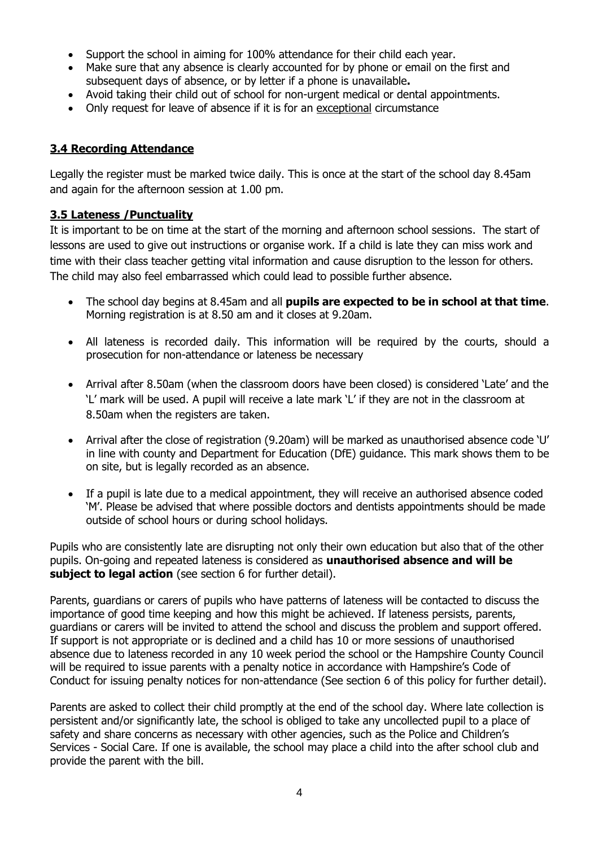- Support the school in aiming for 100% attendance for their child each year.
- Make sure that any absence is clearly accounted for by phone or email on the first and subsequent days of absence, or by letter if a phone is unavailable**.**
- Avoid taking their child out of school for non-urgent medical or dental appointments.
- Only request for leave of absence if it is for an exceptional circumstance

### **3.4 Recording Attendance**

Legally the register must be marked twice daily. This is once at the start of the school day 8.45am and again for the afternoon session at 1.00 pm.

### **3.5 Lateness /Punctuality**

It is important to be on time at the start of the morning and afternoon school sessions. The start of lessons are used to give out instructions or organise work. If a child is late they can miss work and time with their class teacher getting vital information and cause disruption to the lesson for others. The child may also feel embarrassed which could lead to possible further absence.

- The school day begins at 8.45am and all **pupils are expected to be in school at that time**. Morning registration is at 8.50 am and it closes at 9.20am.
- All lateness is recorded daily. This information will be required by the courts, should a prosecution for non-attendance or lateness be necessary
- Arrival after 8.50am (when the classroom doors have been closed) is considered 'Late' and the 'L' mark will be used. A pupil will receive a late mark 'L' if they are not in the classroom at 8.50am when the registers are taken.
- Arrival after the close of registration (9.20am) will be marked as unauthorised absence code 'U' in line with county and Department for Education (DfE) guidance. This mark shows them to be on site, but is legally recorded as an absence.
- If a pupil is late due to a medical appointment, they will receive an authorised absence coded 'M'. Please be advised that where possible doctors and dentists appointments should be made outside of school hours or during school holidays.

Pupils who are consistently late are disrupting not only their own education but also that of the other pupils. On-going and repeated lateness is considered as **unauthorised absence and will be subject to legal action** (see section 6 for further detail).

Parents, guardians or carers of pupils who have patterns of lateness will be contacted to discuss the importance of good time keeping and how this might be achieved. If lateness persists, parents, guardians or carers will be invited to attend the school and discuss the problem and support offered. If support is not appropriate or is declined and a child has 10 or more sessions of unauthorised absence due to lateness recorded in any 10 week period the school or the Hampshire County Council will be required to issue parents with a penalty notice in accordance with Hampshire's Code of Conduct for issuing penalty notices for non-attendance (See section 6 of this policy for further detail).

Parents are asked to collect their child promptly at the end of the school day. Where late collection is persistent and/or significantly late, the school is obliged to take any uncollected pupil to a place of safety and share concerns as necessary with other agencies, such as the Police and Children's Services - Social Care. If one is available, the school may place a child into the after school club and provide the parent with the bill.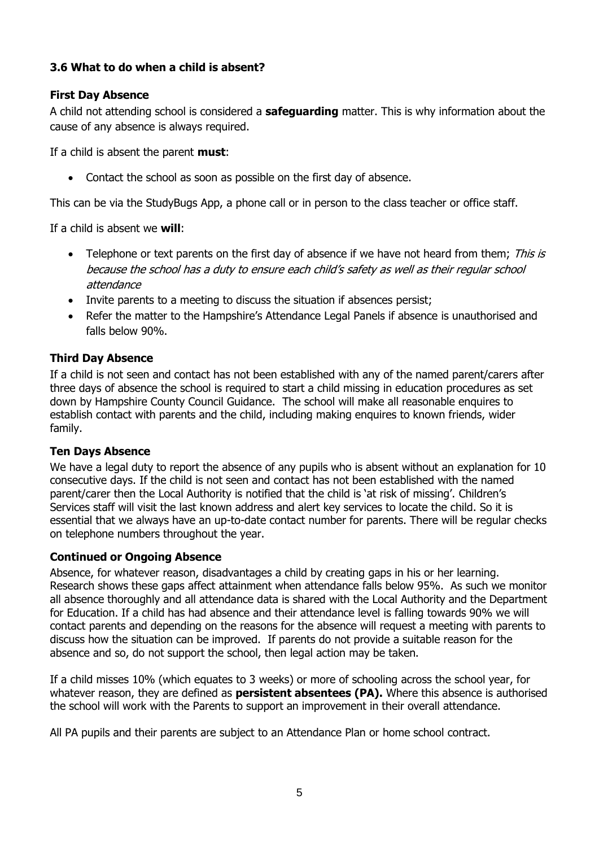## **3.6 What to do when a child is absent?**

## **First Day Absence**

A child not attending school is considered a **safeguarding** matter. This is why information about the cause of any absence is always required.

If a child is absent the parent **must**:

• Contact the school as soon as possible on the first day of absence.

This can be via the StudyBugs App, a phone call or in person to the class teacher or office staff.

If a child is absent we **will**:

- Telephone or text parents on the first day of absence if we have not heard from them; This is because the school has a duty to ensure each child's safety as well as their regular school attendance
- Invite parents to a meeting to discuss the situation if absences persist;
- Refer the matter to the Hampshire's Attendance Legal Panels if absence is unauthorised and falls below 90%.

### **Third Day Absence**

If a child is not seen and contact has not been established with any of the named parent/carers after three days of absence the school is required to start a child missing in education procedures as set down by Hampshire County Council Guidance. The school will make all reasonable enquires to establish contact with parents and the child, including making enquires to known friends, wider family.

#### **Ten Days Absence**

We have a legal duty to report the absence of any pupils who is absent without an explanation for 10 consecutive days. If the child is not seen and contact has not been established with the named parent/carer then the Local Authority is notified that the child is 'at risk of missing'. Children's Services staff will visit the last known address and alert key services to locate the child. So it is essential that we always have an up-to-date contact number for parents. There will be regular checks on telephone numbers throughout the year.

### **Continued or Ongoing Absence**

Absence, for whatever reason, disadvantages a child by creating gaps in his or her learning. Research shows these gaps affect attainment when attendance falls below 95%. As such we monitor all absence thoroughly and all attendance data is shared with the Local Authority and the Department for Education. If a child has had absence and their attendance level is falling towards 90% we will contact parents and depending on the reasons for the absence will request a meeting with parents to discuss how the situation can be improved. If parents do not provide a suitable reason for the absence and so, do not support the school, then legal action may be taken.

If a child misses 10% (which equates to 3 weeks) or more of schooling across the school year, for whatever reason, they are defined as **persistent absentees (PA).** Where this absence is authorised the school will work with the Parents to support an improvement in their overall attendance.

All PA pupils and their parents are subject to an Attendance Plan or home school contract.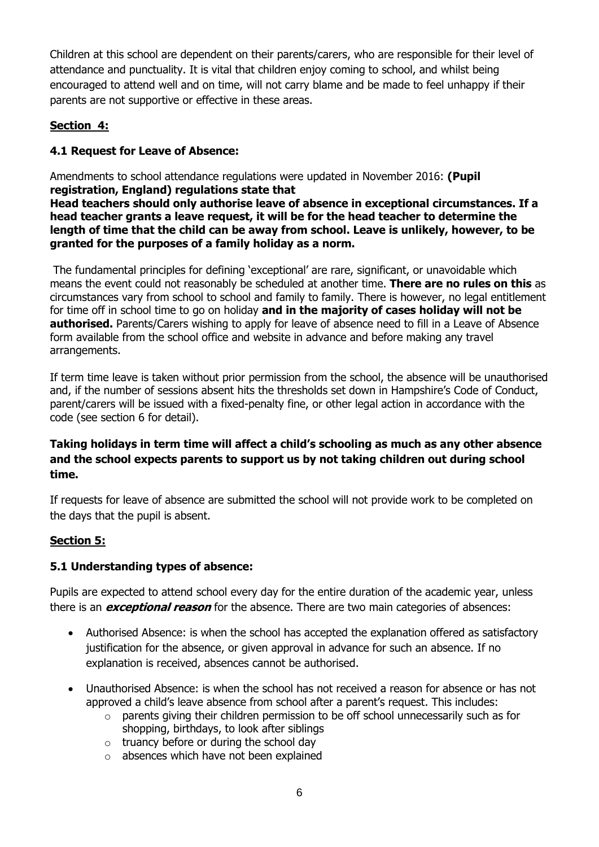Children at this school are dependent on their parents/carers, who are responsible for their level of attendance and punctuality. It is vital that children enjoy coming to school, and whilst being encouraged to attend well and on time, will not carry blame and be made to feel unhappy if their parents are not supportive or effective in these areas.

# **Section 4:**

# **4.1 Request for Leave of Absence:**

Amendments to school attendance regulations were updated in November 2016: **(Pupil registration, England) regulations state that**

**Head teachers should only authorise leave of absence in exceptional circumstances. If a head teacher grants a leave request, it will be for the head teacher to determine the length of time that the child can be away from school. Leave is unlikely, however, to be granted for the purposes of a family holiday as a norm.**

The fundamental principles for defining 'exceptional' are rare, significant, or unavoidable which means the event could not reasonably be scheduled at another time. **There are no rules on this** as circumstances vary from school to school and family to family. There is however, no legal entitlement for time off in school time to go on holiday **and in the majority of cases holiday will not be authorised.** Parents/Carers wishing to apply for leave of absence need to fill in a Leave of Absence form available from the school office and website in advance and before making any travel arrangements.

If term time leave is taken without prior permission from the school, the absence will be unauthorised and, if the number of sessions absent hits the thresholds set down in Hampshire's Code of Conduct, parent/carers will be issued with a fixed-penalty fine, or other legal action in accordance with the code (see section 6 for detail).

# **Taking holidays in term time will affect a child's schooling as much as any other absence and the school expects parents to support us by not taking children out during school time.**

If requests for leave of absence are submitted the school will not provide work to be completed on the days that the pupil is absent.

# **Section 5:**

# **5.1 Understanding types of absence:**

Pupils are expected to attend school every day for the entire duration of the academic year, unless there is an **exceptional reason** for the absence. There are two main categories of absences:

- Authorised Absence: is when the school has accepted the explanation offered as satisfactory justification for the absence, or given approval in advance for such an absence. If no explanation is received, absences cannot be authorised.
- Unauthorised Absence: is when the school has not received a reason for absence or has not approved a child's leave absence from school after a parent's request. This includes:
	- $\circ$  parents giving their children permission to be off school unnecessarily such as for shopping, birthdays, to look after siblings
	- $\circ$  truancy before or during the school day
	- o absences which have not been explained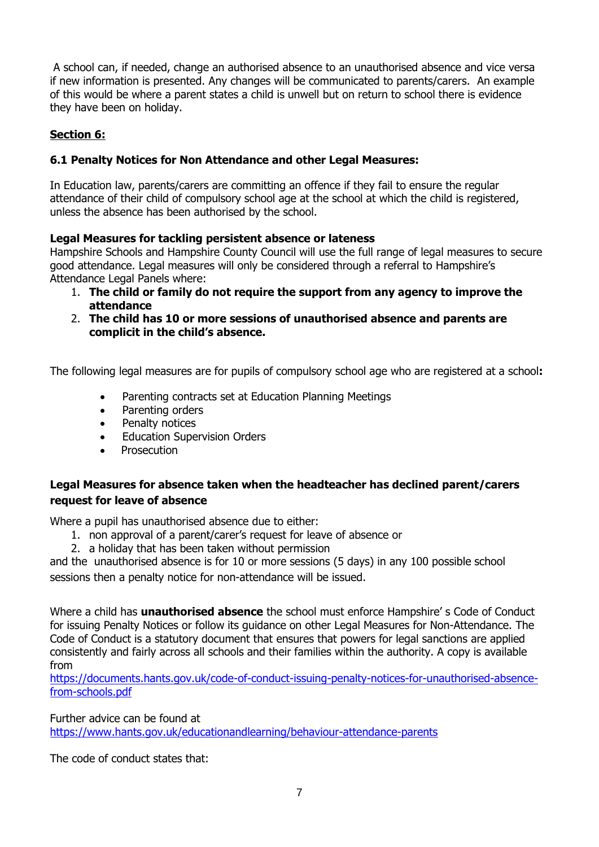A school can, if needed, change an authorised absence to an unauthorised absence and vice versa if new information is presented. Any changes will be communicated to parents/carers. An example of this would be where a parent states a child is unwell but on return to school there is evidence they have been on holiday.

# **Section 6:**

### **6.1 Penalty Notices for Non Attendance and other Legal Measures:**

In Education law, parents/carers are committing an offence if they fail to ensure the regular attendance of their child of compulsory school age at the school at which the child is registered, unless the absence has been authorised by the school.

### **Legal Measures for tackling persistent absence or lateness**

Hampshire Schools and Hampshire County Council will use the full range of legal measures to secure good attendance. Legal measures will only be considered through a referral to Hampshire's Attendance Legal Panels where:

- 1. **The child or family do not require the support from any agency to improve the attendance**
- 2. **The child has 10 or more sessions of unauthorised absence and parents are complicit in the child's absence.**

The following legal measures are for pupils of compulsory school age who are registered at a school**:**

- Parenting contracts set at Education Planning Meetings
- Parenting orders
- Penalty notices
- **Education Supervision Orders**
- **Prosecution**

## **Legal Measures for absence taken when the headteacher has declined parent/carers request for leave of absence**

Where a pupil has unauthorised absence due to either:

- 1. non approval of a parent/carer's request for leave of absence or
- 2. a holiday that has been taken without permission

and the unauthorised absence is for 10 or more sessions (5 days) in any 100 possible school sessions then a penalty notice for non-attendance will be issued.

Where a child has **unauthorised absence** the school must enforce Hampshire' s Code of Conduct for issuing Penalty Notices or follow its guidance on other Legal Measures for Non-Attendance. The Code of Conduct is a statutory document that ensures that powers for legal sanctions are applied consistently and fairly across all schools and their families within the authority. A copy is available from

[https://documents.hants.gov.uk/code-of-conduct-issuing-penalty-notices-for-unauthorised-absence](https://documents.hants.gov.uk/code-of-conduct-issuing-penalty-notices-for-unauthorised-absence-from-schools.pdf)[from-schools.pdf](https://documents.hants.gov.uk/code-of-conduct-issuing-penalty-notices-for-unauthorised-absence-from-schools.pdf)

Further advice can be found at <https://www.hants.gov.uk/educationandlearning/behaviour-attendance-parents>

The code of conduct states that: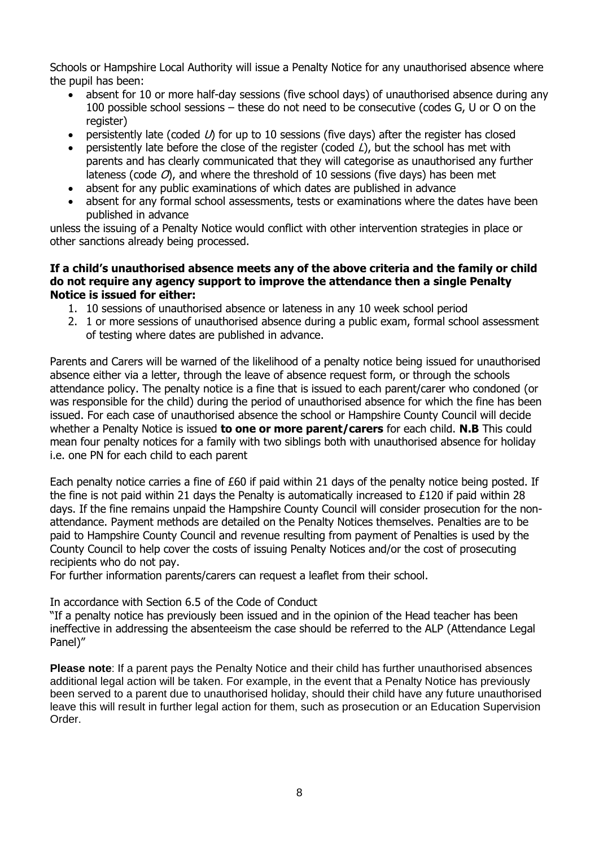Schools or Hampshire Local Authority will issue a Penalty Notice for any unauthorised absence where the pupil has been:

- absent for 10 or more half-day sessions (five school days) of unauthorised absence during any 100 possible school sessions – these do not need to be consecutive (codes G, U or O on the register)
- persistently late (coded  $U$ ) for up to 10 sessions (five days) after the register has closed
- persistently late before the close of the register (coded  $L$ ), but the school has met with parents and has clearly communicated that they will categorise as unauthorised any further lateness (code  $O$ ), and where the threshold of 10 sessions (five days) has been met
- absent for any public examinations of which dates are published in advance
- absent for any formal school assessments, tests or examinations where the dates have been published in advance

unless the issuing of a Penalty Notice would conflict with other intervention strategies in place or other sanctions already being processed.

#### **If a child's unauthorised absence meets any of the above criteria and the family or child do not require any agency support to improve the attendance then a single Penalty Notice is issued for either:**

- 1. 10 sessions of unauthorised absence or lateness in any 10 week school period
- 2. 1 or more sessions of unauthorised absence during a public exam, formal school assessment of testing where dates are published in advance.

Parents and Carers will be warned of the likelihood of a penalty notice being issued for unauthorised absence either via a letter, through the leave of absence request form, or through the schools attendance policy. The penalty notice is a fine that is issued to each parent/carer who condoned (or was responsible for the child) during the period of unauthorised absence for which the fine has been issued. For each case of unauthorised absence the school or Hampshire County Council will decide whether a Penalty Notice is issued **to one or more parent/carers** for each child. **N.B** This could mean four penalty notices for a family with two siblings both with unauthorised absence for holiday i.e. one PN for each child to each parent

Each penalty notice carries a fine of £60 if paid within 21 days of the penalty notice being posted. If the fine is not paid within 21 days the Penalty is automatically increased to £120 if paid within 28 days. If the fine remains unpaid the Hampshire County Council will consider prosecution for the nonattendance. Payment methods are detailed on the Penalty Notices themselves. Penalties are to be paid to Hampshire County Council and revenue resulting from payment of Penalties is used by the County Council to help cover the costs of issuing Penalty Notices and/or the cost of prosecuting recipients who do not pay.

For further information parents/carers can request a leaflet from their school.

In accordance with Section 6.5 of the Code of Conduct

"If a penalty notice has previously been issued and in the opinion of the Head teacher has been ineffective in addressing the absenteeism the case should be referred to the ALP (Attendance Legal Panel)"

**Please note**: If a parent pays the Penalty Notice and their child has further unauthorised absences additional legal action will be taken. For example, in the event that a Penalty Notice has previously been served to a parent due to unauthorised holiday, should their child have any future unauthorised leave this will result in further legal action for them, such as prosecution or an Education Supervision Order.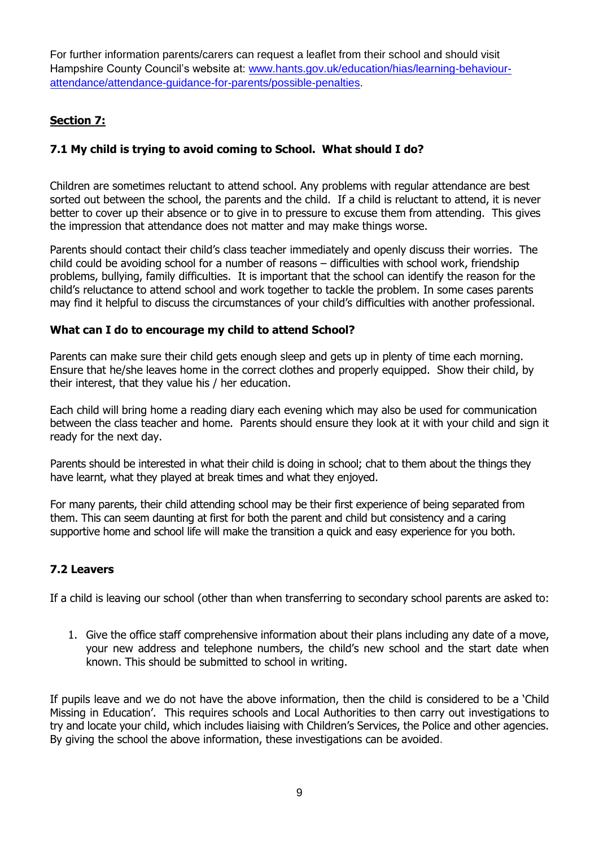For further information parents/carers can request a leaflet from their school and should visit Hampshire County Council's website at: [www.hants.gov.uk/education/hias/learning-behaviour](http://www.hants.gov.uk/education/hias/learning-behaviour-attendance/attendance-guidance-for-parents/possible-penalties)[attendance/attendance-guidance-for-parents/possible-penalties.](http://www.hants.gov.uk/education/hias/learning-behaviour-attendance/attendance-guidance-for-parents/possible-penalties)

# **Section 7:**

## **7.1 My child is trying to avoid coming to School. What should I do?**

Children are sometimes reluctant to attend school. Any problems with regular attendance are best sorted out between the school, the parents and the child. If a child is reluctant to attend, it is never better to cover up their absence or to give in to pressure to excuse them from attending. This gives the impression that attendance does not matter and may make things worse.

Parents should contact their child's class teacher immediately and openly discuss their worries. The child could be avoiding school for a number of reasons – difficulties with school work, friendship problems, bullying, family difficulties. It is important that the school can identify the reason for the child's reluctance to attend school and work together to tackle the problem. In some cases parents may find it helpful to discuss the circumstances of your child's difficulties with another professional.

### **What can I do to encourage my child to attend School?**

Parents can make sure their child gets enough sleep and gets up in plenty of time each morning. Ensure that he/she leaves home in the correct clothes and properly equipped. Show their child, by their interest, that they value his / her education.

Each child will bring home a reading diary each evening which may also be used for communication between the class teacher and home. Parents should ensure they look at it with your child and sign it ready for the next day.

Parents should be interested in what their child is doing in school; chat to them about the things they have learnt, what they played at break times and what they enjoyed.

For many parents, their child attending school may be their first experience of being separated from them. This can seem daunting at first for both the parent and child but consistency and a caring supportive home and school life will make the transition a quick and easy experience for you both.

### **7.2 Leavers**

If a child is leaving our school (other than when transferring to secondary school parents are asked to:

1. Give the office staff comprehensive information about their plans including any date of a move, your new address and telephone numbers, the child's new school and the start date when known. This should be submitted to school in writing.

If pupils leave and we do not have the above information, then the child is considered to be a 'Child Missing in Education'. This requires schools and Local Authorities to then carry out investigations to try and locate your child, which includes liaising with Children's Services, the Police and other agencies. By giving the school the above information, these investigations can be avoided.